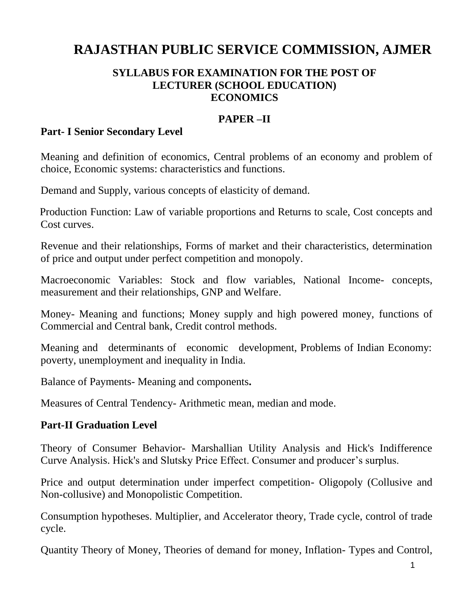# **RAJASTHAN PUBLIC SERVICE COMMISSION, AJMER**

#### **SYLLABUS FOR EXAMINATION FOR THE POST OF LECTURER (SCHOOL EDUCATION) ECONOMICS**

#### **PAPER –II**

#### **Part- I Senior Secondary Level**

Meaning and definition of economics, Central problems of an economy and problem of choice, Economic systems: characteristics and functions.

Demand and Supply, various concepts of elasticity of demand.

Production Function: Law of variable proportions and Returns to scale, Cost concepts and Cost curves.

Revenue and their relationships, Forms of market and their characteristics, determination of price and output under perfect competition and monopoly.

Macroeconomic Variables: Stock and flow variables, National Income- concepts, measurement and their relationships, GNP and Welfare.

Money- Meaning and functions; Money supply and high powered money, functions of Commercial and Central bank, Credit control methods.

Meaning and determinants of economic development, Problems of Indian Economy: poverty, unemployment and inequality in India.

Balance of Payments- Meaning and components**.** 

Measures of Central Tendency- Arithmetic mean, median and mode.

#### **Part-II Graduation Level**

Theory of Consumer Behavior- Marshallian Utility Analysis and Hick's Indifference Curve Analysis. Hick's and Slutsky Price Effect. Consumer and producer's surplus.

Price and output determination under imperfect competition- Oligopoly (Collusive and Non-collusive) and Monopolistic Competition.

Consumption hypotheses. Multiplier, and Accelerator theory, Trade cycle, control of trade cycle.

Quantity Theory of Money, Theories of demand for money, Inflation- Types and Control,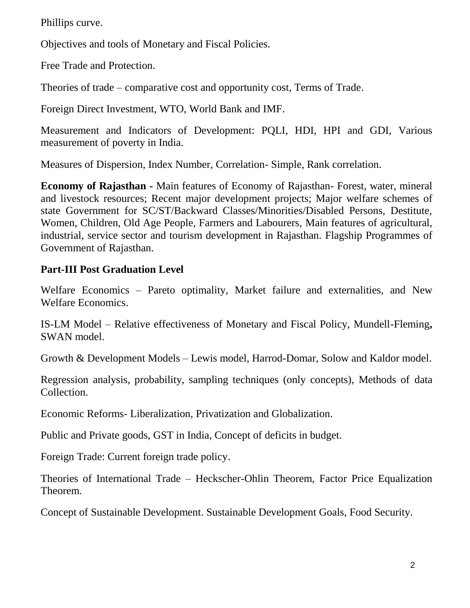Phillips curve.

Objectives and tools of Monetary and Fiscal Policies.

Free Trade and Protection.

Theories of trade – comparative cost and opportunity cost, Terms of Trade.

Foreign Direct Investment, WTO, World Bank and IMF.

Measurement and Indicators of Development: PQLI, HDI, HPI and GDI, Various measurement of poverty in India.

Measures of Dispersion, Index Number, Correlation- Simple, Rank correlation.

**Economy of Rajasthan -** Main features of Economy of Rajasthan- Forest, water, mineral and livestock resources; Recent major development projects; Major welfare schemes of state Government for SC/ST/Backward Classes/Minorities/Disabled Persons, Destitute, Women, Children, Old Age People, Farmers and Labourers, Main features of agricultural, industrial, service sector and tourism development in Rajasthan. Flagship Programmes of Government of Rajasthan.

# **Part-III Post Graduation Level**

Welfare Economics – Pareto optimality, Market failure and externalities, and New Welfare Economics.

IS-LM Model – Relative effectiveness of Monetary and Fiscal Policy, Mundell-Fleming**,**  SWAN model.

Growth & Development Models – Lewis model, Harrod-Domar, Solow and Kaldor model.

Regression analysis, probability, sampling techniques (only concepts), Methods of data Collection.

Economic Reforms- Liberalization, Privatization and Globalization.

Public and Private goods, GST in India, Concept of deficits in budget.

Foreign Trade: Current foreign trade policy.

Theories of International Trade – Heckscher-Ohlin Theorem, Factor Price Equalization Theorem.

Concept of Sustainable Development. Sustainable Development Goals, Food Security.